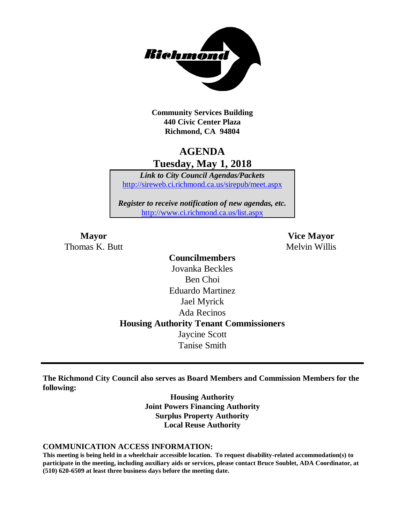

**Community Services Building 440 Civic Center Plaza Richmond, CA 94804**

## **AGENDA Tuesday, May 1, 2018**

*Link to City Council Agendas/Packets* <http://sireweb.ci.richmond.ca.us/sirepub/meet.aspx>

*Register to receive notification of new agendas, etc.* <http://www.ci.richmond.ca.us/list.aspx>

Thomas K. Butt Melvin Willis

**Mayor Vice Mayor**

**Councilmembers** Jovanka Beckles Ben Choi Eduardo Martinez Jael Myrick Ada Recinos **Housing Authority Tenant Commissioners** Jaycine Scott Tanise Smith

**The Richmond City Council also serves as Board Members and Commission Members for the following:**

> **Housing Authority Joint Powers Financing Authority Surplus Property Authority Local Reuse Authority**

#### **COMMUNICATION ACCESS INFORMATION:**

**This meeting is being held in a wheelchair accessible location. To request disability-related accommodation(s) to participate in the meeting, including auxiliary aids or services, please contact Bruce Soublet, ADA Coordinator, at (510) 620-6509 at least three business days before the meeting date.**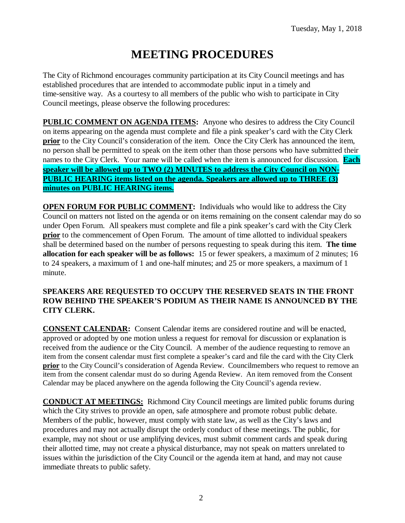# **MEETING PROCEDURES**

The City of Richmond encourages community participation at its City Council meetings and has established procedures that are intended to accommodate public input in a timely and time-sensitive way. As a courtesy to all members of the public who wish to participate in City Council meetings, please observe the following procedures:

**PUBLIC COMMENT ON AGENDA ITEMS:** Anyone who desires to address the City Council on items appearing on the agenda must complete and file a pink speaker's card with the City Clerk **prior** to the City Council's consideration of the item. Once the City Clerk has announced the item, no person shall be permitted to speak on the item other than those persons who have submitted their names to the City Clerk. Your name will be called when the item is announced for discussion. **Each speaker will be allowed up to TWO (2) MINUTES to address the City Council on NON-PUBLIC HEARING items listed on the agenda. Speakers are allowed up to THREE (3) minutes on PUBLIC HEARING items.**

**OPEN FORUM FOR PUBLIC COMMENT:** Individuals who would like to address the City Council on matters not listed on the agenda or on items remaining on the consent calendar may do so under Open Forum. All speakers must complete and file a pink speaker's card with the City Clerk **prior** to the commencement of Open Forum. The amount of time allotted to individual speakers shall be determined based on the number of persons requesting to speak during this item. **The time allocation for each speaker will be as follows:** 15 or fewer speakers, a maximum of 2 minutes; 16 to 24 speakers, a maximum of 1 and one-half minutes; and 25 or more speakers, a maximum of 1 minute.

#### **SPEAKERS ARE REQUESTED TO OCCUPY THE RESERVED SEATS IN THE FRONT ROW BEHIND THE SPEAKER'S PODIUM AS THEIR NAME IS ANNOUNCED BY THE CITY CLERK.**

**CONSENT CALENDAR:** Consent Calendar items are considered routine and will be enacted, approved or adopted by one motion unless a request for removal for discussion or explanation is received from the audience or the City Council. A member of the audience requesting to remove an item from the consent calendar must first complete a speaker's card and file the card with the City Clerk **prior** to the City Council's consideration of Agenda Review. Councilmembers who request to remove an item from the consent calendar must do so during Agenda Review. An item removed from the Consent Calendar may be placed anywhere on the agenda following the City Council's agenda review.

**CONDUCT AT MEETINGS:** Richmond City Council meetings are limited public forums during which the City strives to provide an open, safe atmosphere and promote robust public debate. Members of the public, however, must comply with state law, as well as the City's laws and procedures and may not actually disrupt the orderly conduct of these meetings. The public, for example, may not shout or use amplifying devices, must submit comment cards and speak during their allotted time, may not create a physical disturbance, may not speak on matters unrelated to issues within the jurisdiction of the City Council or the agenda item at hand, and may not cause immediate threats to public safety.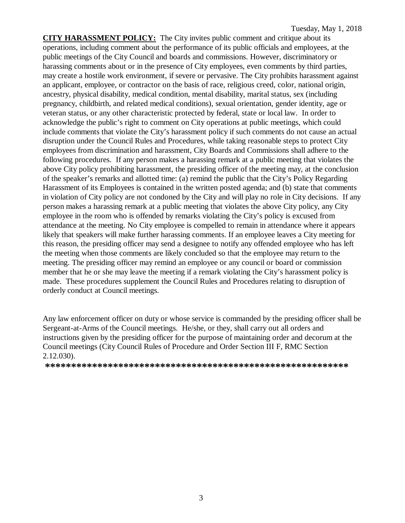**CITY HARASSMENT POLICY:** The City invites public comment and critique about its operations, including comment about the performance of its public officials and employees, at the public meetings of the City Council and boards and commissions. However, discriminatory or harassing comments about or in the presence of City employees, even comments by third parties, may create a hostile work environment, if severe or pervasive. The City prohibits harassment against an applicant, employee, or contractor on the basis of race, religious creed, color, national origin, ancestry, physical disability, medical condition, mental disability, marital status, sex (including pregnancy, childbirth, and related medical conditions), sexual orientation, gender identity, age or veteran status, or any other characteristic protected by federal, state or local law. In order to acknowledge the public's right to comment on City operations at public meetings, which could include comments that violate the City's harassment policy if such comments do not cause an actual disruption under the Council Rules and Procedures, while taking reasonable steps to protect City employees from discrimination and harassment, City Boards and Commissions shall adhere to the following procedures. If any person makes a harassing remark at a public meeting that violates the above City policy prohibiting harassment, the presiding officer of the meeting may, at the conclusion of the speaker's remarks and allotted time: (a) remind the public that the City's Policy Regarding Harassment of its Employees is contained in the written posted agenda; and (b) state that comments in violation of City policy are not condoned by the City and will play no role in City decisions. If any person makes a harassing remark at a public meeting that violates the above City policy, any City employee in the room who is offended by remarks violating the City's policy is excused from attendance at the meeting. No City employee is compelled to remain in attendance where it appears likely that speakers will make further harassing comments. If an employee leaves a City meeting for this reason, the presiding officer may send a designee to notify any offended employee who has left the meeting when those comments are likely concluded so that the employee may return to the meeting. The presiding officer may remind an employee or any council or board or commission member that he or she may leave the meeting if a remark violating the City's harassment policy is made. These procedures supplement the Council Rules and Procedures relating to disruption of orderly conduct at Council meetings.

Any law enforcement officer on duty or whose service is commanded by the presiding officer shall be Sergeant-at-Arms of the Council meetings. He/she, or they, shall carry out all orders and instructions given by the presiding officer for the purpose of maintaining order and decorum at the Council meetings (City Council Rules of Procedure and Order Section III F, RMC Section 2.12.030).

**\*\*\*\*\*\*\*\*\*\*\*\*\*\*\*\*\*\*\*\*\*\*\*\*\*\*\*\*\*\*\*\*\*\*\*\*\*\*\*\*\*\*\*\*\*\*\*\*\*\*\*\*\*\*\*\*\*\***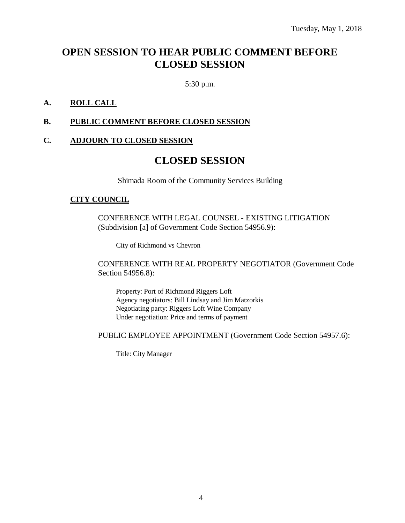## **OPEN SESSION TO HEAR PUBLIC COMMENT BEFORE CLOSED SESSION**

5:30 p.m.

### **A. ROLL CALL**

#### **B. PUBLIC COMMENT BEFORE CLOSED SESSION**

#### **C. ADJOURN TO CLOSED SESSION**

## **CLOSED SESSION**

Shimada Room of the Community Services Building

#### **CITY COUNCIL**

CONFERENCE WITH LEGAL COUNSEL - EXISTING LITIGATION (Subdivision [a] of Government Code Section 54956.9):

City of Richmond vs Chevron

CONFERENCE WITH REAL PROPERTY NEGOTIATOR (Government Code Section 54956.8):

Property: Port of Richmond Riggers Loft Agency negotiators: Bill Lindsay and Jim Matzorkis Negotiating party: Riggers Loft Wine Company Under negotiation: Price and terms of payment

PUBLIC EMPLOYEE APPOINTMENT (Government Code Section 54957.6):

Title: City Manager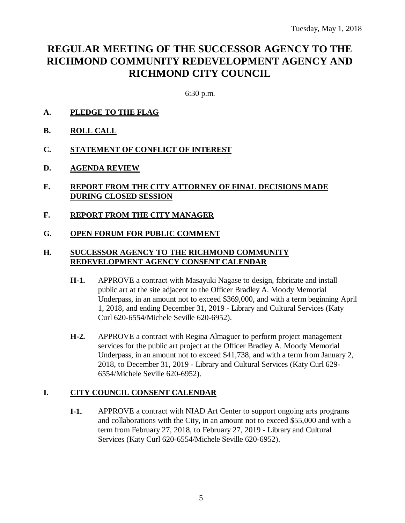## **REGULAR MEETING OF THE SUCCESSOR AGENCY TO THE RICHMOND COMMUNITY REDEVELOPMENT AGENCY AND RICHMOND CITY COUNCIL**

6:30 p.m.

- **A. PLEDGE TO THE FLAG**
- **B. ROLL CALL**
- **C. STATEMENT OF CONFLICT OF INTEREST**
- **D. AGENDA REVIEW**
- **E. REPORT FROM THE CITY ATTORNEY OF FINAL DECISIONS MADE DURING CLOSED SESSION**
- **F. REPORT FROM THE CITY MANAGER**
- **G. OPEN FORUM FOR PUBLIC COMMENT**

#### **H. SUCCESSOR AGENCY TO THE RICHMOND COMMUNITY REDEVELOPMENT AGENCY CONSENT CALENDAR**

- **H-1.** APPROVE a contract with Masayuki Nagase to design, fabricate and install public art at the site adjacent to the Officer Bradley A. Moody Memorial Underpass, in an amount not to exceed \$369,000, and with a term beginning April 1, 2018, and ending December 31, 2019 - Library and Cultural Services (Katy Curl 620-6554/Michele Seville 620-6952).
- **H-2.** APPROVE a contract with Regina Almaguer to perform project management services for the public art project at the Officer Bradley A. Moody Memorial Underpass, in an amount not to exceed \$41,738, and with a term from January 2, 2018, to December 31, 2019 - Library and Cultural Services (Katy Curl 629- 6554/Michele Seville 620-6952).

## **I. CITY COUNCIL CONSENT CALENDAR**

**I-1.** APPROVE a contract with NIAD Art Center to support ongoing arts programs and collaborations with the City, in an amount not to exceed \$55,000 and with a term from February 27, 2018, to February 27, 2019 - Library and Cultural Services (Katy Curl 620-6554/Michele Seville 620-6952).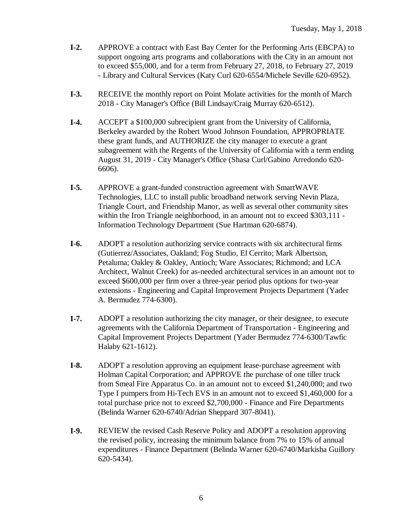- **I-2.** APPROVE a contract with East Bay Center for the Performing Arts (EBCPA) to support ongoing arts programs and collaborations with the City in an amount not to exceed \$55,000, and for a term from February 27, 2018, to February 27, 2019 - Library and Cultural Services (Katy Curl 620-6554/Michele Seville 620-6952).
- **I-3.** RECEIVE the monthly report on Point Molate activities for the month of March 2018 - City Manager's Office (Bill Lindsay/Craig Murray 620-6512).
- **I-4.** ACCEPT a \$100,000 subrecipient grant from the University of California, Berkeley awarded by the Robert Wood Johnson Foundation, APPROPRIATE these grant funds, and AUTHORIZE the city manager to execute a grant subagreement with the Regents of the University of California with a term ending August 31, 2019 - City Manager's Office (Shasa Curl/Gabino Arredondo 620- 6606).
- **I-5.** APPROVE a grant-funded construction agreement with SmartWAVE Technologies, LLC to install public broadband network serving Nevin Plaza, Triangle Court, and Friendship Manor, as well as several other community sites within the Iron Triangle neighborhood, in an amount not to exceed \$303,111 -Information Technology Department (Sue Hartman 620-6874).
- **I-6.** ADOPT a resolution authorizing service contracts with six architectural firms (Gutierrez/Associates, Oakland; Fog Studio, El Cerrito; Mark Albertson, Petaluma; Oakley & Oakley, Antioch; Ware Associates; Richmond; and LCA Architect, Walnut Creek) for as-needed architectural services in an amount not to exceed \$600,000 per firm over a three-year period plus options for two-year extensions - Engineering and Capital Improvement Projects Department (Yader A. Bermudez 774-6300).
- **I-7.** ADOPT a resolution authorizing the city manager, or their designee, to execute agreements with the California Department of Transportation - Engineering and Capital Improvement Projects Department (Yader Bermudez 774-6300/Tawfic Halaby 621-1612).
- **I-8.** ADOPT a resolution approving an equipment lease-purchase agreement with Holman Capital Corporation; and APPROVE the purchase of one tiller truck from Smeal Fire Apparatus Co. in an amount not to exceed \$1,240,000; and two Type I pumpers from Hi-Tech EVS in an amount not to exceed \$1,460,000 for a total purchase price not to exceed \$2,700,000 - Finance and Fire Departments (Belinda Warner 620-6740/Adrian Sheppard 307-8041).
- **I-9.** REVIEW the revised Cash Reserve Policy and ADOPT a resolution approving the revised policy, increasing the minimum balance from 7% to 15% of annual expenditures - Finance Department (Belinda Warner 620-6740/Markisha Guillory 620-5434).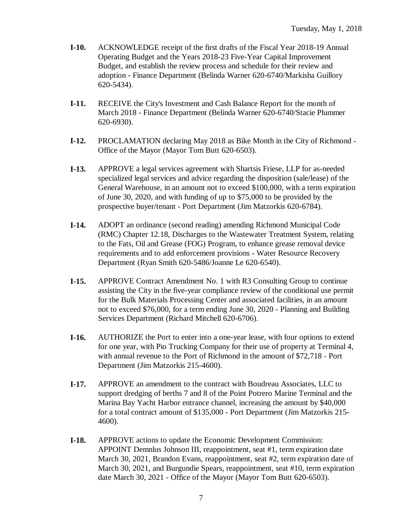- **I-10.** ACKNOWLEDGE receipt of the first drafts of the Fiscal Year 2018-19 Annual Operating Budget and the Years 2018-23 Five-Year Capital Improvement Budget, and establish the review process and schedule for their review and adoption - Finance Department (Belinda Warner 620-6740/Markisha Guillory 620-5434).
- **I-11.** RECEIVE the City's Investment and Cash Balance Report for the month of March 2018 - Finance Department (Belinda Warner 620-6740/Stacie Plummer 620-6930).
- **I-12.** PROCLAMATION declaring May 2018 as Bike Month in the City of Richmond Office of the Mayor (Mayor Tom Butt 620-6503).
- **I-13.** APPROVE a legal services agreement with Shartsis Friese, LLP for as-needed specialized legal services and advice regarding the disposition (sale/lease) of the General Warehouse, in an amount not to exceed \$100,000, with a term expiration of June 30, 2020, and with funding of up to \$75,000 to be provided by the prospective buyer/tenant - Port Department (Jim Matzorkis 620-6784).
- **I-14.** ADOPT an ordinance (second reading) amending Richmond Municipal Code (RMC) Chapter 12.18, Discharges to the Wastewater Treatment System, relating to the Fats, Oil and Grease (FOG) Program, to enhance grease removal device requirements and to add enforcement provisions - Water Resource Recovery Department (Ryan Smith 620-5486/Joanne Le 620-6540).
- **I-15.** APPROVE Contract Amendment No. 1 with R3 Consulting Group to continue assisting the City in the five-year compliance review of the conditional use permit for the Bulk Materials Processing Center and associated facilities, in an amount not to exceed \$76,000, for a term ending June 30, 2020 - Planning and Building Services Department (Richard Mitchell 620-6706).
- **I-16.** AUTHORIZE the Port to enter into a one-year lease, with four options to extend for one year, with Pio Trucking Company for their use of property at Terminal 4, with annual revenue to the Port of Richmond in the amount of \$72,718 - Port Department (Jim Matzorkis 215-4600).
- **I-17.** APPROVE an amendment to the contract with Boudreau Associates, LLC to support dredging of berths 7 and 8 of the Point Potrero Marine Terminal and the Marina Bay Yacht Harbor entrance channel, increasing the amount by \$40,000 for a total contract amount of \$135,000 - Port Department (Jim Matzorkis 215- 4600).
- **I-18.** APPROVE actions to update the Economic Development Commission: APPOINT Demnlus Johnson III, reappointment, seat #1, term expiration date March 30, 2021, Brandon Evans, reappointment, seat #2, term expiration date of March 30, 2021, and Burgundie Spears, reappointment, seat #10, term expiration date March 30, 2021 - Office of the Mayor (Mayor Tom Butt 620-6503).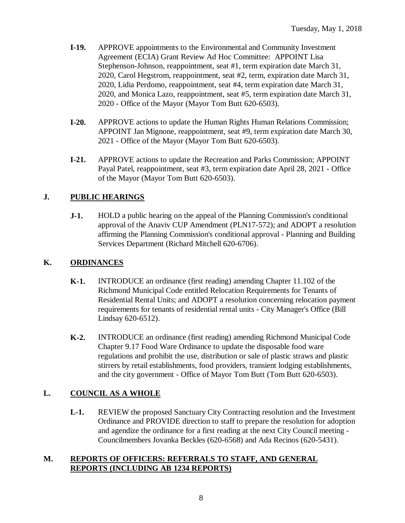- **I-19.** APPROVE appointments to the Environmental and Community Investment Agreement (ECIA) Grant Review Ad Hoc Committee: APPOINT Lisa Stephenson-Johnson, reappointment, seat #1, term expiration date March 31, 2020, Carol Hegstrom, reappointment, seat #2, term, expiration date March 31, 2020, Lidia Perdomo, reappointment, seat #4, term expiration date March 31, 2020, and Monica Lazo, reappointment, seat #5, term expiration date March 31, 2020 - Office of the Mayor (Mayor Tom Butt 620-6503).
- **I-20.** APPROVE actions to update the Human Rights Human Relations Commission; APPOINT Jan Mignone, reappointment, seat #9, term expiration date March 30, 2021 - Office of the Mayor (Mayor Tom Butt 620-6503).
- **I-21.** APPROVE actions to update the Recreation and Parks Commission; APPOINT Payal Patel, reappointment, seat #3, term expiration date April 28, 2021 - Office of the Mayor (Mayor Tom Butt 620-6503).

## **J. PUBLIC HEARINGS**

**J-1.** HOLD a public hearing on the appeal of the Planning Commission's conditional approval of the Anaviv CUP Amendment (PLN17-572); and ADOPT a resolution affirming the Planning Commission's conditional approval - Planning and Building Services Department (Richard Mitchell 620-6706).

### **K. ORDINANCES**

- **K-1.** INTRODUCE an ordinance (first reading) amending Chapter 11.102 of the Richmond Municipal Code entitled Relocation Requirements for Tenants of Residential Rental Units; and ADOPT a resolution concerning relocation payment requirements for tenants of residential rental units - City Manager's Office (Bill Lindsay 620-6512).
- **K-2.** INTRODUCE an ordinance (first reading) amending Richmond Municipal Code Chapter 9.17 Food Ware Ordinance to update the disposable food ware regulations and prohibit the use, distribution or sale of plastic straws and plastic stirrers by retail establishments, food providers, transient lodging establishments, and the city government - Office of Mayor Tom Butt (Tom Butt 620-6503).

## **L. COUNCIL AS A WHOLE**

**L-1.** REVIEW the proposed Sanctuary City Contracting resolution and the Investment Ordinance and PROVIDE direction to staff to prepare the resolution for adoption and agendize the ordinance for a first reading at the next City Council meeting - Councilmembers Jovanka Beckles (620-6568) and Ada Recinos (620-5431).

#### **M. REPORTS OF OFFICERS: REFERRALS TO STAFF, AND GENERAL REPORTS (INCLUDING AB 1234 REPORTS)**